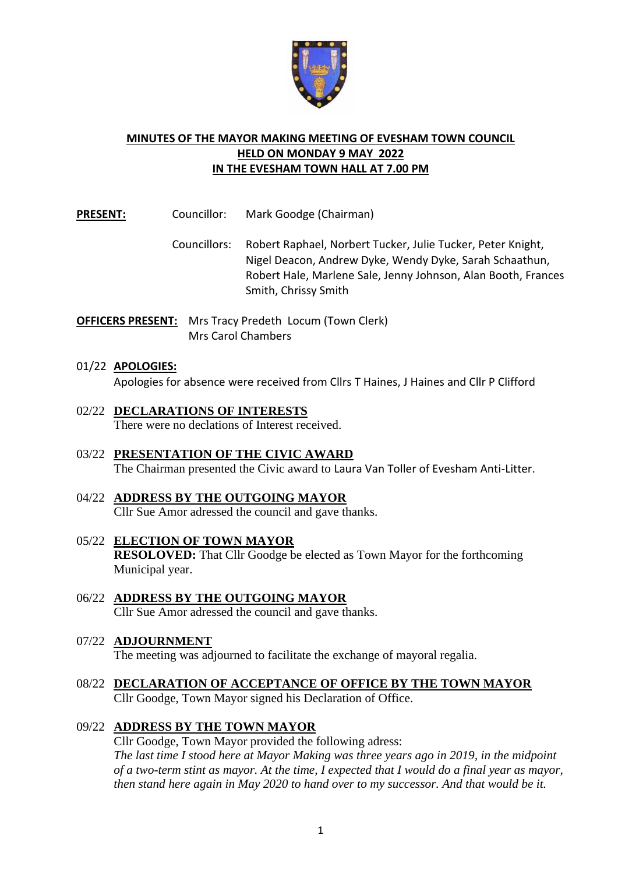

## **MINUTES OF THE MAYOR MAKING MEETING OF EVESHAM TOWN COUNCIL HELD ON MONDAY 9 MAY 2022 IN THE EVESHAM TOWN HALL AT 7.00 PM**

**PRESENT:** Councillor: Mark Goodge (Chairman)

- Councillors: Robert Raphael, Norbert Tucker, Julie Tucker, Peter Knight, Nigel Deacon, Andrew Dyke, Wendy Dyke, Sarah Schaathun, Robert Hale, Marlene Sale, Jenny Johnson, Alan Booth, Frances Smith, Chrissy Smith
- **OFFICERS PRESENT:** Mrs Tracy Predeth Locum (Town Clerk) Mrs Carol Chambers

## 01/22 **APOLOGIES:**

Apologies for absence were received from Cllrs T Haines, J Haines and Cllr P Clifford

- 02/22 **DECLARATIONS OF INTERESTS** There were no declations of Interest received.
- 03/22 **PRESENTATION OF THE CIVIC AWARD** The Chairman presented the Civic award to Laura Van Toller of Evesham Anti-Litter.
- 04/22 **ADDRESS BY THE OUTGOING MAYOR**  Cllr Sue Amor adressed the council and gave thanks.
- 05/22 **ELECTION OF TOWN MAYOR RESOLOVED:** That Cllr Goodge be elected as Town Mayor for the forthcoming Municipal year.
- 06/22 **ADDRESS BY THE OUTGOING MAYOR**  Cllr Sue Amor adressed the council and gave thanks.

### 07/22 **ADJOURNMENT**

The meeting was adjourned to facilitate the exchange of mayoral regalia.

08/22 **DECLARATION OF ACCEPTANCE OF OFFICE BY THE TOWN MAYOR** Cllr Goodge, Town Mayor signed his Declaration of Office.

### 09/22 **ADDRESS BY THE TOWN MAYOR**

Cllr Goodge, Town Mayor provided the following adress: *The last time I stood here at Mayor Making was three years ago in 2019, in the midpoint of a two-term stint as mayor. At the time, I expected that I would do a final year as mayor, then stand here again in May 2020 to hand over to my successor. And that would be it.*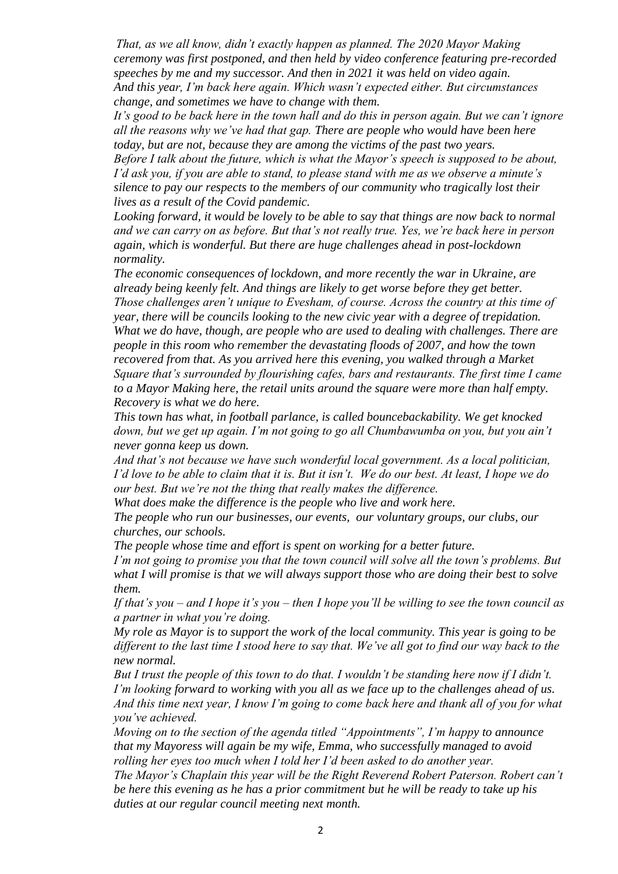*That, as we all know, didn't exactly happen as planned. The 2020 Mayor Making ceremony was first postponed, and then held by video conference featuring pre-recorded speeches by me and my successor. And then in 2021 it was held on video again. And this year, I'm back here again. Which wasn't expected either. But circumstances change, and sometimes we have to change with them.* 

*It's good to be back here in the town hall and do this in person again. But we can't ignore all the reasons why we've had that gap. There are people who would have been here today, but are not, because they are among the victims of the past two years.* 

*Before I talk about the future, which is what the Mayor's speech is supposed to be about, I'd ask you, if you are able to stand, to please stand with me as we observe a minute's silence to pay our respects to the members of our community who tragically lost their lives as a result of the Covid pandemic.* 

*Looking forward, it would be lovely to be able to say that things are now back to normal and we can carry on as before. But that's not really true. Yes, we're back here in person again, which is wonderful. But there are huge challenges ahead in post-lockdown normality.*

*The economic consequences of lockdown, and more recently the war in Ukraine, are already being keenly felt. And things are likely to get worse before they get better. Those challenges aren't unique to Evesham, of course. Across the country at this time of year, there will be councils looking to the new civic year with a degree of trepidation. What we do have, though, are people who are used to dealing with challenges. There are people in this room who remember the devastating floods of 2007, and how the town recovered from that. As you arrived here this evening, you walked through a Market Square that's surrounded by flourishing cafes, bars and restaurants. The first time I came to a Mayor Making here, the retail units around the square were more than half empty. Recovery is what we do here.*

*This town has what, in football parlance, is called bouncebackability. We get knocked down, but we get up again. I'm not going to go all Chumbawumba on you, but you ain't never gonna keep us down.*

*And that's not because we have such wonderful local government. As a local politician, I'd love to be able to claim that it is. But it isn't. We do our best. At least, I hope we do our best. But we're not the thing that really makes the difference.*

*What does make the difference is the people who live and work here.* 

*The people who run our businesses, our events, our voluntary groups, our clubs, our churches, our schools.* 

*The people whose time and effort is spent on working for a better future.*

*I'm not going to promise you that the town council will solve all the town's problems. But what I will promise is that we will always support those who are doing their best to solve them.*

*If that's you – and I hope it's you – then I hope you'll be willing to see the town council as a partner in what you're doing.*

*My role as Mayor is to support the work of the local community. This year is going to be different to the last time I stood here to say that. We've all got to find our way back to the new normal.*

*But I trust the people of this town to do that. I wouldn't be standing here now if I didn't. I'm looking forward to working with you all as we face up to the challenges ahead of us. And this time next year, I know I'm going to come back here and thank all of you for what you've achieved.* 

*Moving on to the section of the agenda titled "Appointments", I'm happy to announce that my Mayoress will again be my wife, Emma, who successfully managed to avoid rolling her eyes too much when I told her I'd been asked to do another year.*

*The Mayor's Chaplain this year will be the Right Reverend Robert Paterson. Robert can't be here this evening as he has a prior commitment but he will be ready to take up his duties at our regular council meeting next month.*